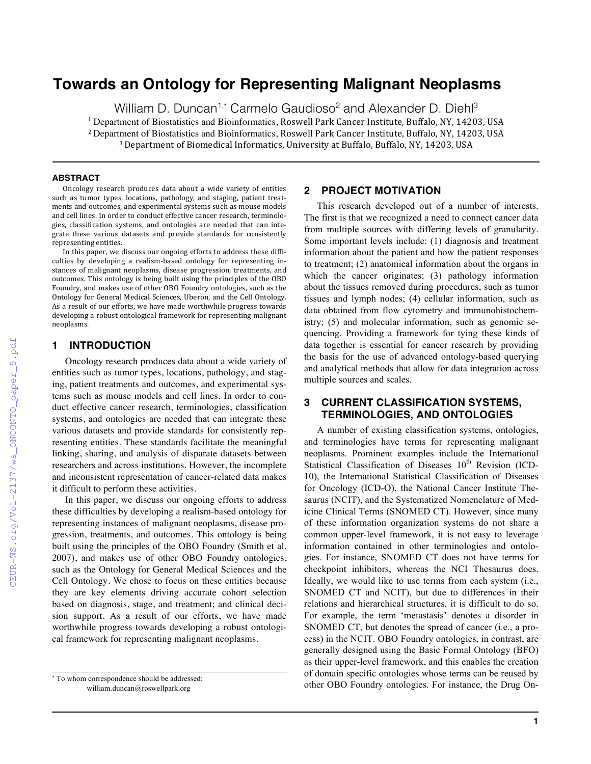# **Towards an Ontology for Representing Malignant Neoplasms**

William D. Duncan<sup>1,\*</sup> Carmelo Gaudioso<sup>2</sup> and Alexander D. Diehl<sup>3</sup>  $<sup>1</sup>$  Department of Biostatistics and Bioinformatics, Roswell Park Cancer Institute, Buffalo, NY, 14203, USA</sup> <sup>2</sup> Department of Biostatistics and Bioinformatics, Roswell Park Cancer Institute, Buffalo, NY, 14203, USA <sup>3</sup> Department of Biomedical Informatics, University at Buffalo, Buffalo, NY, 14203, USA

#### **ABSTRACT**

Oncology research produces data about a wide variety of entities such as tumor types, locations, pathology, and staging, patient treatments and outcomes, and experimental systems such as mouse models and cell lines. In order to conduct effective cancer research, terminologies, classification systems, and ontologies are needed that can integrate these various datasets and provide standards for consistently representing entities.

In this paper, we discuss our ongoing efforts to address these difficulties by developing a realism-based ontology for representing instances of malignant neoplasms, disease progression, treatments, and outcomes. This ontology is being built using the principles of the OBO Foundry, and makes use of other OBO Foundry ontologies, such as the Ontology for General Medical Sciences, Uberon, and the Cell Ontology. As a result of our efforts, we have made worthwhile progress towards developing a robust ontological framework for representing malignant neoplasms.

#### **1 INTRODUCTION**

Oncology research produces data about a wide variety of entities such as tumor types, locations, pathology, and staging, patient treatments and outcomes, and experimental systems such as mouse models and cell lines. In order to conduct effective cancer research, terminologies, classification systems, and ontologies are needed that can integrate these various datasets and provide standards for consistently representing entities. These standards facilitate the meaningful linking, sharing, and analysis of disparate datasets between researchers and across institutions. However, the incomplete and inconsistent representation of cancer-related data makes it difficult to perform these activities.

In this paper, we discuss our ongoing efforts to address these difficulties by developing a realism-based ontology for representing instances of malignant neoplasms, disease progression, treatments, and outcomes. This ontology is being built using the principles of the OBO Foundry (Smith et al. 2007), and makes use of other OBO Foundry ontologies, such as the Ontology for General Medical Sciences and the Cell Ontology. We chose to focus on these entities because they are key elements driving accurate cohort selection based on diagnosis, stage, and treatment; and clinical decision support. As a result of our efforts, we have made worthwhile progress towards developing a robust ontological framework for representing malignant neoplasms.

### **2 PROJECT MOTIVATION**

This research developed out of a number of interests. The first is that we recognized a need to connect cancer data from multiple sources with differing levels of granularity. Some important levels include: (1) diagnosis and treatment information about the patient and how the patient responses to treatment; (2) anatomical information about the organs in which the cancer originates; (3) pathology information about the tissues removed during procedures, such as tumor tissues and lymph nodes; (4) cellular information, such as data obtained from flow cytometry and immunohistochemistry; (5) and molecular information, such as genomic sequencing. Providing a framework for tying these kinds of data together is essential for cancer research by providing the basis for the use of advanced ontology-based querying and analytical methods that allow for data integration across multiple sources and scales.

## **3 CURRENT CLASSIFICATION SYSTEMS, TERMINOLOGIES, AND ONTOLOGIES**

A number of existing classification systems, ontologies, and terminologies have terms for representing malignant neoplasms. Prominent examples include the International Statistical Classification of Diseases 10<sup>th</sup> Revision (ICD-10), the International Statistical Classification of Diseases for Oncology (ICD-O), the National Cancer Institute Thesaurus (NCIT), and the Systematized Nomenclature of Medicine Clinical Terms (SNOMED CT). However, since many of these information organization systems do not share a common upper-level framework, it is not easy to leverage information contained in other terminologies and ontologies. For instance, SNOMED CT does not have terms for checkpoint inhibitors, whereas the NCI Thesaurus does. Ideally, we would like to use terms from each system (i.e., SNOMED CT and NCIT), but due to differences in their relations and hierarchical structures, it is difficult to do so. For example, the term 'metastasis' denotes a disorder in SNOMED CT, but denotes the spread of cancer (i.e., a process) in the NCIT. OBO Foundry ontologies, in contrast, are generally designed using the Basic Formal Ontology (BFO) as their upper-level framework, and this enables the creation of domain specific ontologies whose terms can be reused by other OBO Foundry ontologies. For instance, the Drug On-

<sup>\*</sup> To whom correspondence should be addressed: william.duncan@roswellpark.org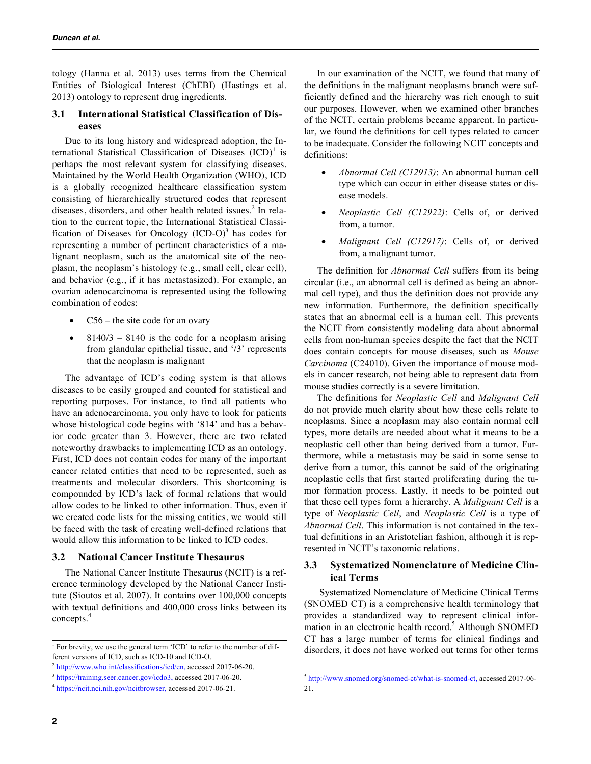tology (Hanna et al. 2013) uses terms from the Chemical Entities of Biological Interest (ChEBI) (Hastings et al. 2013) ontology to represent drug ingredients.

## **3.1 International Statistical Classification of Diseases**

Due to its long history and widespread adoption, the International Statistical Classification of Diseases  $(ICD)^1$  is perhaps the most relevant system for classifying diseases. Maintained by the World Health Organization (WHO), ICD is a globally recognized healthcare classification system consisting of hierarchically structured codes that represent diseases, disorders, and other health related issues.<sup>2</sup> In relation to the current topic, the International Statistical Classification of Diseases for Oncology  $(ICD-O)^3$  has codes for representing a number of pertinent characteristics of a malignant neoplasm, such as the anatomical site of the neoplasm, the neoplasm's histology (e.g., small cell, clear cell), and behavior (e.g., if it has metastasized). For example, an ovarian adenocarcinoma is represented using the following combination of codes:

- $C56$  the site code for an ovary
- $8140/3 8140$  is the code for a neoplasm arising from glandular epithelial tissue, and '/3' represents that the neoplasm is malignant

The advantage of ICD's coding system is that allows diseases to be easily grouped and counted for statistical and reporting purposes. For instance, to find all patients who have an adenocarcinoma, you only have to look for patients whose histological code begins with '814' and has a behavior code greater than 3. However, there are two related noteworthy drawbacks to implementing ICD as an ontology. First, ICD does not contain codes for many of the important cancer related entities that need to be represented, such as treatments and molecular disorders. This shortcoming is compounded by ICD's lack of formal relations that would allow codes to be linked to other information. Thus, even if we created code lists for the missing entities, we would still be faced with the task of creating well-defined relations that would allow this information to be linked to ICD codes.

## **3.2 National Cancer Institute Thesaurus**

The National Cancer Institute Thesaurus (NCIT) is a reference terminology developed by the National Cancer Institute (Sioutos et al. 2007). It contains over 100,000 concepts with textual definitions and 400,000 cross links between its concepts.<sup>4</sup>

In our examination of the NCIT, we found that many of the definitions in the malignant neoplasms branch were sufficiently defined and the hierarchy was rich enough to suit our purposes. However, when we examined other branches of the NCIT, certain problems became apparent. In particular, we found the definitions for cell types related to cancer to be inadequate. Consider the following NCIT concepts and definitions:

- *Abnormal Cell (C12913)*: An abnormal human cell type which can occur in either disease states or disease models.
- *Neoplastic Cell (C12922)*: Cells of, or derived from, a tumor.
- *Malignant Cell (C12917)*: Cells of, or derived from, a malignant tumor.

The definition for *Abnormal Cell* suffers from its being circular (i.e., an abnormal cell is defined as being an abnormal cell type), and thus the definition does not provide any new information. Furthermore, the definition specifically states that an abnormal cell is a human cell. This prevents the NCIT from consistently modeling data about abnormal cells from non-human species despite the fact that the NCIT does contain concepts for mouse diseases, such as *Mouse Carcinoma* (C24010). Given the importance of mouse models in cancer research, not being able to represent data from mouse studies correctly is a severe limitation.

The definitions for *Neoplastic Cell* and *Malignant Cell* do not provide much clarity about how these cells relate to neoplasms. Since a neoplasm may also contain normal cell types, more details are needed about what it means to be a neoplastic cell other than being derived from a tumor. Furthermore, while a metastasis may be said in some sense to derive from a tumor, this cannot be said of the originating neoplastic cells that first started proliferating during the tumor formation process. Lastly, it needs to be pointed out that these cell types form a hierarchy. A *Malignant Cell* is a type of *Neoplastic Cell*, and *Neoplastic Cell* is a type of *Abnormal Cell*. This information is not contained in the textual definitions in an Aristotelian fashion, although it is represented in NCIT's taxonomic relations.

## **3.3 Systematized Nomenclature of Medicine Clinical Terms**

Systematized Nomenclature of Medicine Clinical Terms (SNOMED CT) is a comprehensive health terminology that provides a standardized way to represent clinical information in an electronic health record.<sup>5</sup> Although SNOMED CT has a large number of terms for clinical findings and disorders, it does not have worked out terms for other terms

<sup>&</sup>lt;sup>1</sup> For brevity, we use the general term 'ICD' to refer to the number of different versions of ICD, such as ICD-10 and ICD-O.

<sup>2</sup> http://www.who.int/classifications/icd/en, accessed 2017-06-20.

<sup>&</sup>lt;sup>3</sup> https://training.seer.cancer.gov/icdo3, accessed 2017-06-20.

<sup>4</sup> https://ncit.nci.nih.gov/ncitbrowser, accessed 2017-06-21.

<sup>5</sup> http://www.snomed.org/snomed-ct/what-is-snomed-ct, accessed 2017-06- 21.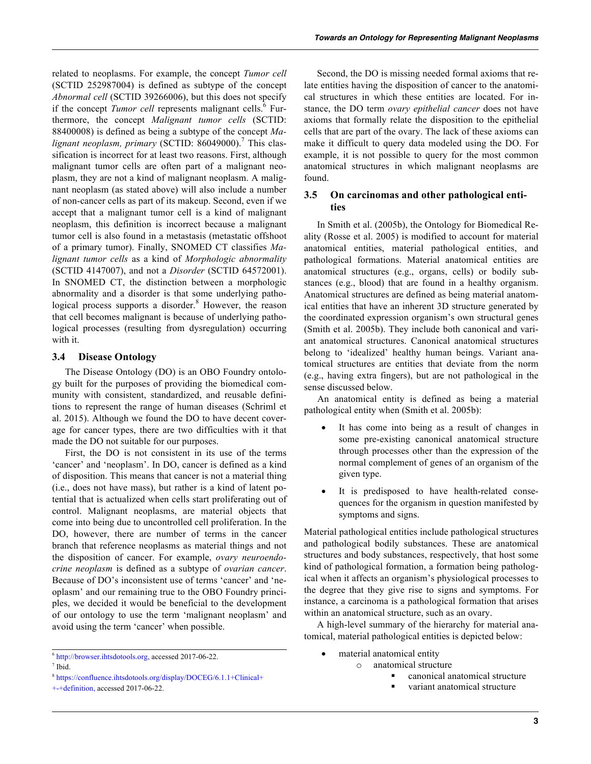related to neoplasms. For example, the concept *Tumor cell* (SCTID 252987004) is defined as subtype of the concept *Abnormal cell* (SCTID 39266006), but this does not specify if the concept *Tumor cell* represents malignant cells.<sup>6</sup> Furthermore, the concept *Malignant tumor cells* (SCTID: 88400008) is defined as being a subtype of the concept *Malignant neoplasm, primary* (SCTID: 86049000).<sup>7</sup> This classification is incorrect for at least two reasons. First, although malignant tumor cells are often part of a malignant neoplasm, they are not a kind of malignant neoplasm. A malignant neoplasm (as stated above) will also include a number of non-cancer cells as part of its makeup. Second, even if we accept that a malignant tumor cell is a kind of malignant neoplasm, this definition is incorrect because a malignant tumor cell is also found in a metastasis (metastatic offshoot of a primary tumor). Finally, SNOMED CT classifies *Malignant tumor cells* as a kind of *Morphologic abnormality* (SCTID 4147007), and not a *Disorder* (SCTID 64572001). In SNOMED CT, the distinction between a morphologic abnormality and a disorder is that some underlying pathological process supports a disorder.<sup>8</sup> However, the reason that cell becomes malignant is because of underlying pathological processes (resulting from dysregulation) occurring with it.

### **3.4 Disease Ontology**

The Disease Ontology (DO) is an OBO Foundry ontology built for the purposes of providing the biomedical community with consistent, standardized, and reusable definitions to represent the range of human diseases (Schriml et al. 2015). Although we found the DO to have decent coverage for cancer types, there are two difficulties with it that made the DO not suitable for our purposes.

First, the DO is not consistent in its use of the terms 'cancer' and 'neoplasm'. In DO, cancer is defined as a kind of disposition. This means that cancer is not a material thing (i.e., does not have mass), but rather is a kind of latent potential that is actualized when cells start proliferating out of control. Malignant neoplasms, are material objects that come into being due to uncontrolled cell proliferation. In the DO, however, there are number of terms in the cancer branch that reference neoplasms as material things and not the disposition of cancer. For example, *ovary neuroendocrine neoplasm* is defined as a subtype of *ovarian cancer*. Because of DO's inconsistent use of terms 'cancer' and 'neoplasm' and our remaining true to the OBO Foundry principles, we decided it would be beneficial to the development of our ontology to use the term 'malignant neoplasm' and avoid using the term 'cancer' when possible.

Second, the DO is missing needed formal axioms that relate entities having the disposition of cancer to the anatomical structures in which these entities are located. For instance, the DO term *ovary epithelial cancer* does not have axioms that formally relate the disposition to the epithelial cells that are part of the ovary. The lack of these axioms can make it difficult to query data modeled using the DO. For example, it is not possible to query for the most common anatomical structures in which malignant neoplasms are found.

## **3.5 On carcinomas and other pathological entities**

In Smith et al. (2005b), the Ontology for Biomedical Reality (Rosse et al. 2005) is modified to account for material anatomical entities, material pathological entities, and pathological formations. Material anatomical entities are anatomical structures (e.g., organs, cells) or bodily substances (e.g., blood) that are found in a healthy organism. Anatomical structures are defined as being material anatomical entities that have an inherent 3D structure generated by the coordinated expression organism's own structural genes (Smith et al. 2005b). They include both canonical and variant anatomical structures. Canonical anatomical structures belong to 'idealized' healthy human beings. Variant anatomical structures are entities that deviate from the norm (e.g., having extra fingers), but are not pathological in the sense discussed below.

An anatomical entity is defined as being a material pathological entity when (Smith et al. 2005b):

- It has come into being as a result of changes in some pre-existing canonical anatomical structure through processes other than the expression of the normal complement of genes of an organism of the given type.
- It is predisposed to have health-related consequences for the organism in question manifested by symptoms and signs.

Material pathological entities include pathological structures and pathological bodily substances. These are anatomical structures and body substances, respectively, that host some kind of pathological formation, a formation being pathological when it affects an organism's physiological processes to the degree that they give rise to signs and symptoms. For instance, a carcinoma is a pathological formation that arises within an anatomical structure, such as an ovary.

A high-level summary of the hierarchy for material anatomical, material pathological entities is depicted below:

- material anatomical entity
	- o anatomical structure
		- § canonical anatomical structure
		- variant anatomical structure

<sup>6</sup> http://browser.ihtsdotools.org, accessed 2017-06-22.

<sup>7</sup> Ibid.

<sup>8</sup> https://confluence.ihtsdotools.org/display/DOCEG/6.1.1+Clinical+

<sup>+-+</sup>definition, accessed 2017-06-22.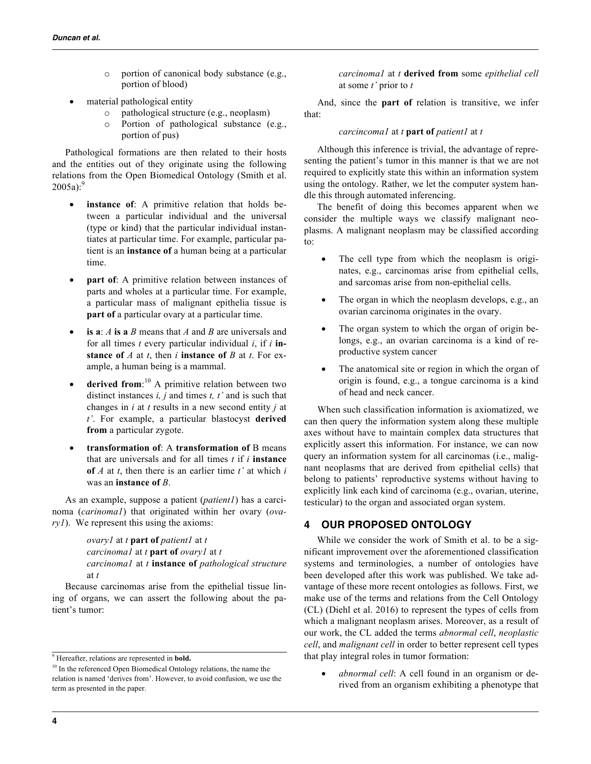- o portion of canonical body substance (e.g., portion of blood)
- material pathological entity
	- o pathological structure (e.g., neoplasm)
	- o Portion of pathological substance (e.g., portion of pus)

Pathological formations are then related to their hosts and the entities out of they originate using the following relations from the Open Biomedical Ontology (Smith et al.  $2005a$ ):<sup>9</sup>

- instance of: A primitive relation that holds between a particular individual and the universal (type or kind) that the particular individual instantiates at particular time. For example, particular patient is an **instance of** a human being at a particular time.
- **part of**: A primitive relation between instances of parts and wholes at a particular time. For example, a particular mass of malignant epithelia tissue is **part of** a particular ovary at a particular time.
- **is a**: *A* **is a** *B* means that *A* and *B* are universals and for all times *t* every particular individual *i*, if *i* **instance of** *A* at *t*, then *i* **instance of** *B* at *t*. For example, a human being is a mammal.
- **derived from**: <sup>10</sup> A primitive relation between two distinct instances *i, j* and times *t, t'* and is such that changes in *i* at *t* results in a new second entity *j* at *t'*. For example, a particular blastocyst **derived from** a particular zygote.
- **transformation of**: A **transformation of** B means that are universals and for all times *t* if *i* **instance of** *A* at *t*, then there is an earlier time *t'* at which *i*  was an **instance of** *B*.

As an example, suppose a patient (*patient1*) has a carcinoma (*carinoma1*) that originated within her ovary (*ovary1*). We represent this using the axioms:

> *ovary1* at *t* **part of** *patient1* at *t carcinoma1* at *t* **part of** *ovary1* at *t carcinoma1* at *t* **instance of** *pathological structure* at *t*

Because carcinomas arise from the epithelial tissue lining of organs, we can assert the following about the patient's tumor:

*carcinoma1* at *t* **derived from** some *epithelial cell*  at some *t'* prior to *t*

And, since the **part of** relation is transitive, we infer that:

#### *carcincoma1* at *t* **part of** *patient1* at *t*

Although this inference is trivial, the advantage of representing the patient's tumor in this manner is that we are not required to explicitly state this within an information system using the ontology. Rather, we let the computer system handle this through automated inferencing.

The benefit of doing this becomes apparent when we consider the multiple ways we classify malignant neoplasms. A malignant neoplasm may be classified according to:

- The cell type from which the neoplasm is originates, e.g., carcinomas arise from epithelial cells, and sarcomas arise from non-epithelial cells.
- The organ in which the neoplasm develops, e.g., an ovarian carcinoma originates in the ovary.
- The organ system to which the organ of origin belongs, e.g., an ovarian carcinoma is a kind of reproductive system cancer
- The anatomical site or region in which the organ of origin is found, e.g., a tongue carcinoma is a kind of head and neck cancer.

When such classification information is axiomatized, we can then query the information system along these multiple axes without have to maintain complex data structures that explicitly assert this information. For instance, we can now query an information system for all carcinomas (i.e., malignant neoplasms that are derived from epithelial cells) that belong to patients' reproductive systems without having to explicitly link each kind of carcinoma (e.g., ovarian, uterine, testicular) to the organ and associated organ system.

# **4 OUR PROPOSED ONTOLOGY**

While we consider the work of Smith et al. to be a significant improvement over the aforementioned classification systems and terminologies, a number of ontologies have been developed after this work was published. We take advantage of these more recent ontologies as follows. First, we make use of the terms and relations from the Cell Ontology (CL) (Diehl et al. 2016) to represent the types of cells from which a malignant neoplasm arises. Moreover, as a result of our work, the CL added the terms *abnormal cell*, *neoplastic cell*, and *malignant cell* in order to better represent cell types that play integral roles in tumor formation:

• *abnormal cell*: A cell found in an organism or derived from an organism exhibiting a phenotype that

<sup>9</sup> Hereafter, relations are represented in **bold.**

<sup>&</sup>lt;sup>10</sup> In the referenced Open Biomedical Ontology relations, the name the relation is named 'derives from'. However, to avoid confusion, we use the term as presented in the paper.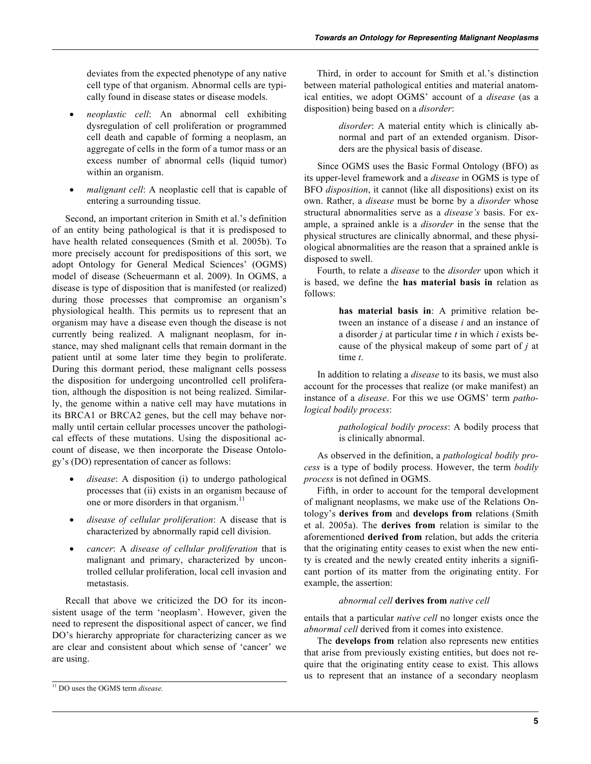deviates from the expected phenotype of any native cell type of that organism. Abnormal cells are typically found in disease states or disease models.

- *neoplastic cell*: An abnormal cell exhibiting dysregulation of cell proliferation or programmed cell death and capable of forming a neoplasm, an aggregate of cells in the form of a tumor mass or an excess number of abnormal cells (liquid tumor) within an organism.
- *malignant cell*: A neoplastic cell that is capable of entering a surrounding tissue.

Second, an important criterion in Smith et al.'s definition of an entity being pathological is that it is predisposed to have health related consequences (Smith et al. 2005b). To more precisely account for predispositions of this sort, we adopt Ontology for General Medical Sciences' (OGMS) model of disease (Scheuermann et al. 2009). In OGMS, a disease is type of disposition that is manifested (or realized) during those processes that compromise an organism's physiological health. This permits us to represent that an organism may have a disease even though the disease is not currently being realized. A malignant neoplasm, for instance, may shed malignant cells that remain dormant in the patient until at some later time they begin to proliferate. During this dormant period, these malignant cells possess the disposition for undergoing uncontrolled cell proliferation, although the disposition is not being realized. Similarly, the genome within a native cell may have mutations in its BRCA1 or BRCA2 genes, but the cell may behave normally until certain cellular processes uncover the pathological effects of these mutations. Using the dispositional account of disease, we then incorporate the Disease Ontology's (DO) representation of cancer as follows:

- *disease*: A disposition (i) to undergo pathological processes that (ii) exists in an organism because of one or more disorders in that organism.<sup>11</sup>
- *disease of cellular proliferation*: A disease that is characterized by abnormally rapid cell division.
- *cancer*: A *disease of cellular proliferation* that is malignant and primary, characterized by uncontrolled cellular proliferation, local cell invasion and metastasis.

Recall that above we criticized the DO for its inconsistent usage of the term 'neoplasm'. However, given the need to represent the dispositional aspect of cancer, we find DO's hierarchy appropriate for characterizing cancer as we are clear and consistent about which sense of 'cancer' we are using.

Third, in order to account for Smith et al.'s distinction between material pathological entities and material anatomical entities, we adopt OGMS' account of a *disease* (as a disposition) being based on a *disorder*:

> *disorder*: A material entity which is clinically abnormal and part of an extended organism. Disorders are the physical basis of disease.

Since OGMS uses the Basic Formal Ontology (BFO) as its upper-level framework and a *disease* in OGMS is type of BFO *disposition*, it cannot (like all dispositions) exist on its own. Rather, a *disease* must be borne by a *disorder* whose structural abnormalities serve as a *disease's* basis. For example, a sprained ankle is a *disorder* in the sense that the physical structures are clinically abnormal, and these physiological abnormalities are the reason that a sprained ankle is disposed to swell.

Fourth, to relate a *disease* to the *disorder* upon which it is based, we define the **has material basis in** relation as follows:

> **has material basis in**: A primitive relation between an instance of a disease *i* and an instance of a disorder *j* at particular time *t* in which *i* exists because of the physical makeup of some part of *j* at time *t*.

In addition to relating a *disease* to its basis, we must also account for the processes that realize (or make manifest) an instance of a *disease*. For this we use OGMS' term *pathological bodily process*:

> *pathological bodily process*: A bodily process that is clinically abnormal.

As observed in the definition, a *pathological bodily process* is a type of bodily process. However, the term *bodily process* is not defined in OGMS.

Fifth, in order to account for the temporal development of malignant neoplasms, we make use of the Relations Ontology's **derives from** and **develops from** relations (Smith et al. 2005a). The **derives from** relation is similar to the aforementioned **derived from** relation, but adds the criteria that the originating entity ceases to exist when the new entity is created and the newly created entity inherits a significant portion of its matter from the originating entity. For example, the assertion:

# *abnormal cell* **derives from** *native cell*

entails that a particular *native cell* no longer exists once the *abnormal cell* derived from it comes into existence.

The **develops from** relation also represents new entities that arise from previously existing entities, but does not require that the originating entity cease to exist. This allows us to represent that an instance of a secondary neoplasm

<sup>11</sup> DO uses the OGMS term *disease.*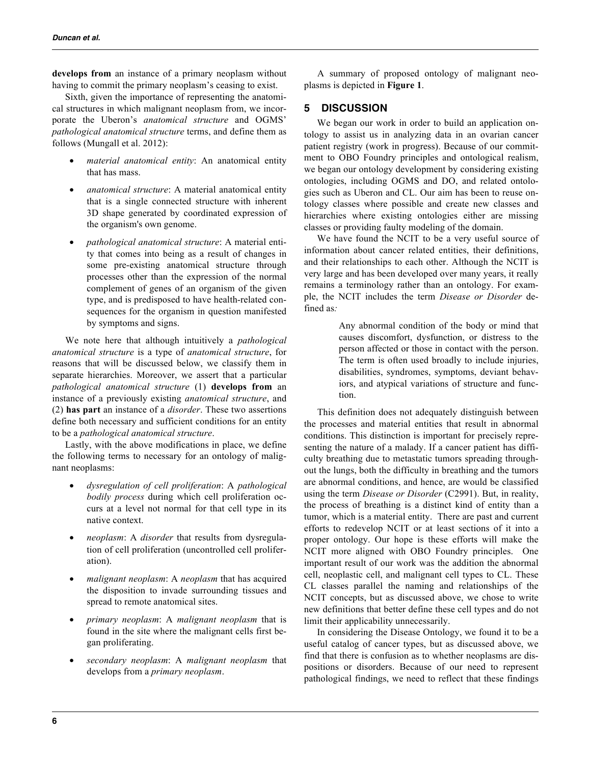**develops from** an instance of a primary neoplasm without having to commit the primary neoplasm's ceasing to exist.

Sixth, given the importance of representing the anatomical structures in which malignant neoplasm from, we incorporate the Uberon's *anatomical structure* and OGMS' *pathological anatomical structure* terms, and define them as follows (Mungall et al. 2012):

- *material anatomical entity*: An anatomical entity that has mass.
- *anatomical structure*: A material anatomical entity that is a single connected structure with inherent 3D shape generated by coordinated expression of the organism's own genome.
- *pathological anatomical structure*: A material entity that comes into being as a result of changes in some pre-existing anatomical structure through processes other than the expression of the normal complement of genes of an organism of the given type, and is predisposed to have health-related consequences for the organism in question manifested by symptoms and signs.

We note here that although intuitively a *pathological anatomical structure* is a type of *anatomical structure*, for reasons that will be discussed below, we classify them in separate hierarchies. Moreover, we assert that a particular *pathological anatomical structure* (1) **develops from** an instance of a previously existing *anatomical structure*, and (2) **has part** an instance of a *disorder*. These two assertions define both necessary and sufficient conditions for an entity to be a *pathological anatomical structure*.

Lastly, with the above modifications in place, we define the following terms to necessary for an ontology of malignant neoplasms:

- *dysregulation of cell proliferation*: A *pathological bodily process* during which cell proliferation occurs at a level not normal for that cell type in its native context.
- *neoplasm*: A *disorder* that results from dysregulation of cell proliferation (uncontrolled cell proliferation).
- *malignant neoplasm*: A *neoplasm* that has acquired the disposition to invade surrounding tissues and spread to remote anatomical sites.
- *primary neoplasm*: A *malignant neoplasm* that is found in the site where the malignant cells first began proliferating.
- *secondary neoplasm*: A *malignant neoplasm* that develops from a *primary neoplasm*.

A summary of proposed ontology of malignant neoplasms is depicted in **Figure 1**.

# **5 DISCUSSION**

We began our work in order to build an application ontology to assist us in analyzing data in an ovarian cancer patient registry (work in progress). Because of our commitment to OBO Foundry principles and ontological realism, we began our ontology development by considering existing ontologies, including OGMS and DO, and related ontologies such as Uberon and CL. Our aim has been to reuse ontology classes where possible and create new classes and hierarchies where existing ontologies either are missing classes or providing faulty modeling of the domain.

We have found the NCIT to be a very useful source of information about cancer related entities, their definitions, and their relationships to each other. Although the NCIT is very large and has been developed over many years, it really remains a terminology rather than an ontology. For example, the NCIT includes the term *Disease or Disorder* defined as*:*

> Any abnormal condition of the body or mind that causes discomfort, dysfunction, or distress to the person affected or those in contact with the person. The term is often used broadly to include injuries, disabilities, syndromes, symptoms, deviant behaviors, and atypical variations of structure and function.

This definition does not adequately distinguish between the processes and material entities that result in abnormal conditions. This distinction is important for precisely representing the nature of a malady. If a cancer patient has difficulty breathing due to metastatic tumors spreading throughout the lungs, both the difficulty in breathing and the tumors are abnormal conditions, and hence, are would be classified using the term *Disease or Disorder* (C2991). But, in reality, the process of breathing is a distinct kind of entity than a tumor, which is a material entity. There are past and current efforts to redevelop NCIT or at least sections of it into a proper ontology. Our hope is these efforts will make the NCIT more aligned with OBO Foundry principles. One important result of our work was the addition the abnormal cell, neoplastic cell, and malignant cell types to CL. These CL classes parallel the naming and relationships of the NCIT concepts, but as discussed above, we chose to write new definitions that better define these cell types and do not limit their applicability unnecessarily.

In considering the Disease Ontology, we found it to be a useful catalog of cancer types, but as discussed above, we find that there is confusion as to whether neoplasms are dispositions or disorders. Because of our need to represent pathological findings, we need to reflect that these findings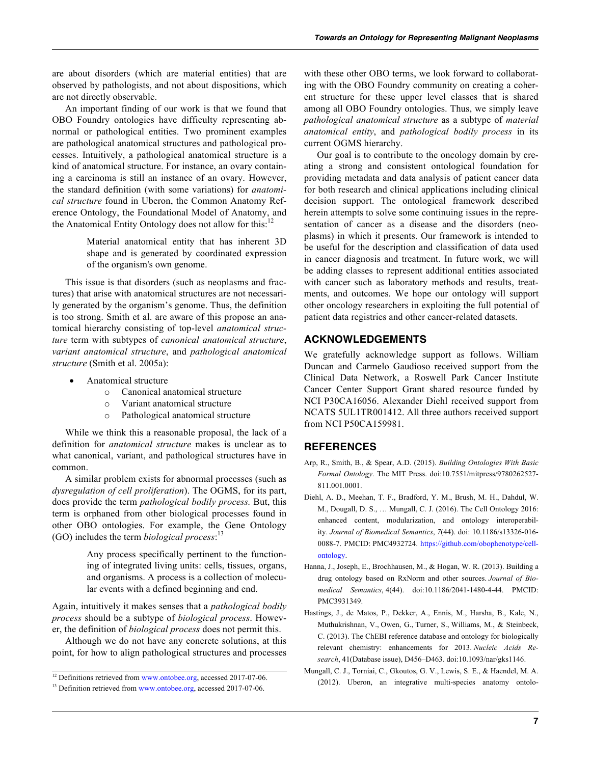are about disorders (which are material entities) that are observed by pathologists, and not about dispositions, which are not directly observable.

An important finding of our work is that we found that OBO Foundry ontologies have difficulty representing abnormal or pathological entities. Two prominent examples are pathological anatomical structures and pathological processes. Intuitively, a pathological anatomical structure is a kind of anatomical structure. For instance, an ovary containing a carcinoma is still an instance of an ovary. However, the standard definition (with some variations) for *anatomical structure* found in Uberon, the Common Anatomy Reference Ontology, the Foundational Model of Anatomy, and the Anatomical Entity Ontology does not allow for this: $12$ 

> Material anatomical entity that has inherent 3D shape and is generated by coordinated expression of the organism's own genome.

This issue is that disorders (such as neoplasms and fractures) that arise with anatomical structures are not necessarily generated by the organism's genome. Thus, the definition is too strong. Smith et al. are aware of this propose an anatomical hierarchy consisting of top-level *anatomical structure* term with subtypes of *canonical anatomical structure*, *variant anatomical structure*, and *pathological anatomical structure* (Smith et al. 2005a):

- Anatomical structure
	- o Canonical anatomical structure
	- o Variant anatomical structure
	- o Pathological anatomical structure

While we think this a reasonable proposal, the lack of a definition for *anatomical structure* makes is unclear as to what canonical, variant, and pathological structures have in common.

A similar problem exists for abnormal processes (such as *dysregulation of cell proliferation*). The OGMS, for its part, does provide the term *pathological bodily process.* But, this term is orphaned from other biological processes found in other OBO ontologies. For example, the Gene Ontology (GO) includes the term *biological process*: 13

> Any process specifically pertinent to the functioning of integrated living units: cells, tissues, organs, and organisms. A process is a collection of molecular events with a defined beginning and end.

Again, intuitively it makes senses that a *pathological bodily process* should be a subtype of *biological process*. However, the definition of *biological process* does not permit this.

Although we do not have any concrete solutions, at this point, for how to align pathological structures and processes with these other OBO terms, we look forward to collaborating with the OBO Foundry community on creating a coherent structure for these upper level classes that is shared among all OBO Foundry ontologies. Thus, we simply leave *pathological anatomical structure* as a subtype of *material anatomical entity*, and *pathological bodily process* in its current OGMS hierarchy.

Our goal is to contribute to the oncology domain by creating a strong and consistent ontological foundation for providing metadata and data analysis of patient cancer data for both research and clinical applications including clinical decision support. The ontological framework described herein attempts to solve some continuing issues in the representation of cancer as a disease and the disorders (neoplasms) in which it presents. Our framework is intended to be useful for the description and classification of data used in cancer diagnosis and treatment. In future work, we will be adding classes to represent additional entities associated with cancer such as laboratory methods and results, treatments, and outcomes. We hope our ontology will support other oncology researchers in exploiting the full potential of patient data registries and other cancer-related datasets.

## **ACKNOWLEDGEMENTS**

We gratefully acknowledge support as follows. William Duncan and Carmelo Gaudioso received support from the Clinical Data Network, a Roswell Park Cancer Institute Cancer Center Support Grant shared resource funded by NCI P30CA16056. Alexander Diehl received support from NCATS 5UL1TR001412. All three authors received support from NCI P50CA159981.

### **REFERENCES**

- Arp, R., Smith, B., & Spear, A.D. (2015). *Building Ontologies With Basic Formal Ontology*. The MIT Press. doi:10.7551/mitpress/9780262527- 811.001.0001.
- Diehl, A. D., Meehan, T. F., Bradford, Y. M., Brush, M. H., Dahdul, W. M., Dougall, D. S., … Mungall, C. J. (2016). The Cell Ontology 2016: enhanced content, modularization, and ontology interoperability. *Journal of Biomedical Semantics*, *7*(44). doi: 10.1186/s13326-016- 0088-7. PMCID: PMC4932724. https://github.com/obophenotype/cellontology.
- Hanna, J., Joseph, E., Brochhausen, M., & Hogan, W. R. (2013). Building a drug ontology based on RxNorm and other sources. *Journal of Biomedical Semantics*, 4(44). doi:10.1186/2041-1480-4-44. PMCID: PMC3931349.
- Hastings, J., de Matos, P., Dekker, A., Ennis, M., Harsha, B., Kale, N., Muthukrishnan, V., Owen, G., Turner, S., Williams, M., & Steinbeck, C. (2013). The ChEBI reference database and ontology for biologically relevant chemistry: enhancements for 2013. *Nucleic Acids Research*, 41(Database issue), D456–D463. doi:10.1093/nar/gks1146.
- Mungall, C. J., Torniai, C., Gkoutos, G. V., Lewis, S. E., & Haendel, M. A. (2012). Uberon, an integrative multi-species anatomy ontolo-

 $12$  Definitions retrieved from www.ontobee.org, accessed 2017-07-06.

<sup>&</sup>lt;sup>13</sup> Definition retrieved from www.ontobee.org, accessed 2017-07-06.